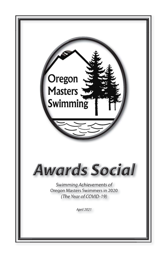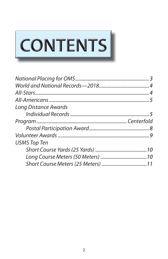

| Long Distance Awards |  |
|----------------------|--|
|                      |  |
|                      |  |
|                      |  |
|                      |  |
| <b>USMS Top Ten</b>  |  |
|                      |  |
|                      |  |
|                      |  |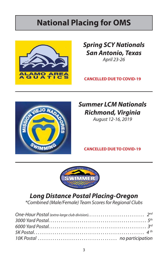# **National Placing for OMS**



*Spring SCY Nationals San Antonio, Texas* April 23-26

**CANCELLED DUE TO COVID-19**



# *Summer LCM Nationals Richmond, Virginia*

August 12-16, 2019

**CANCELLED DUE TO COVID-19**



## *Long Distance Postal Placing-Oregon*

\*Combined (Male/Female) Team Scores for Regional Clubs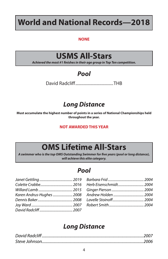# **World and National Records—2018**

#### **NONE**

## **USMS All-Stars**

Achieved the most #1 finishes in their age group in Top Ten competition.

#### *Pool*

David Radcliff ....................................THB

### *Long Distance*

**Must accumulate the highest number of points in a series of National Championships held throughout the year.**

#### **NOT AWARDED THIS YEAR**

# **OMS Lifetime All-Stars**

*A swimmer who is the top OMS Outstanding Swimmer for fi ve years (pool or long distance), will achieve this elite category.* 

#### *Pool*

| Karen Andrus-Hughes  2008 |  |
|---------------------------|--|
|                           |  |
|                           |  |
|                           |  |
|                           |  |

| Herb Eisenschmidt 2004 |  |
|------------------------|--|
|                        |  |
|                        |  |
|                        |  |
|                        |  |

#### *Long Distance*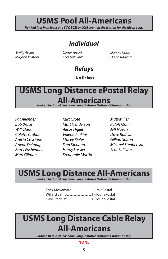# **USMS Pool All-Americans**

*Ranked first in at least one SCY, SCM or LCM event in the Nation for the given year.* 

#### *Individual*

 Emily Arcuri Mirjana Prather Conor Arcuri Scot Sullivan' Dan Kirkland David Radcliff

### *Relays*

**No Relays** 

# **USMS Long Distance ePostal Relay All-Americans**

**Ranked first in at least one Long Distance National Championship** 

Pat Allender Bob Bruce Will Clark Colette Crabbe Anicia Criscione Arlene Delmage Barry Fasbender Matt Gilman

Kurt Grote Matt Henderson Alexis Higlett Valerie Jenkins Stacey Kiefer Dan Kirkland Hardy Lussier Stephanie Martin

Matt Miller Ralph Mohr Jeff Nason Dave Radcliff Gillian Salton Michael Stephenson Scot Sullivan

## **USMS Long Distance All-Americans**

**Ranked first in at least one Long Distance National Championship** 

| Tank McNamare 5-km ePostal |  |
|----------------------------|--|
|                            |  |
|                            |  |

# **USMS Long Distance Cable Relay All-Americans**

**Ranked first in at least one Long Distance National Championship** 

#### **NONE**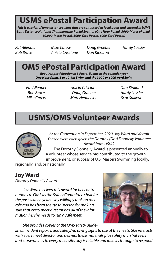# **USMS ePostal Participation Award**

*This is a series of long distance swims that are conducted at local pools and entered in USMS Long Distance National Championship Postal Events. (One Hour Postal, 5000-Meter ePostal, 10,000-Meter Postal, 3000-Yard Postal, 6000-Yard Postal)*

Pat Allender Bob Bruce

Mike Carew Anicia Criscione Doug Graeber Dan Kirkland

Hardy Lussier

# **OMS ePostal Participation Award**

*Requires participation in 3 Postal Events in the calender year One Hour Swim, 5 or 10-km Swim, and the 3000 or 6000-yard Swim*

Pat Allender Bob Bruce Mike Carew

Anicia Criscione Doug Graeber Matt Henderson Dan Kirkland Hardy Lussier Scot Sullivan

# **USMS/OMS Volunteer Awards**



At the Convention in September, 2020, Joy Ward and Kermit Yensen were each given the Dorothy (Dot) Donnelly Volunteer Award from USMS.

The Dorothy Donnelly Award is presented annually to a volunteer whose service has contributed to the growth, improvement, or success of U.S. Masters Swimming locally,

regionally, and/or nationally.

#### **Joy Ward**

Dorothy Donnelly Award

Joy Ward received this award for her contributions to OMS as the Safety Committee chair for the past sixteen years. Joy willingly took on this role and has been the 'go to' person for making sure that every meet director has all of the information he/she needs to run a safe meet.

She provides copies of the OMS safety guide-



lines, incident reports, and safety/no diving signs to use at the meets. She interacts with every meet director and delivers these materials plus safety marshal vests and stopwatches to every meet site. Joy is reliable and follows through to respond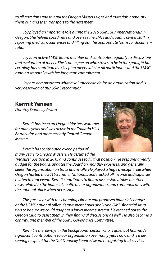to all questions and to haul the Oregon Masters signs and materials home, dry them out, and then transport to the next meet.

Joy played an important role during the 2016 USMS Summer Nationals in Oregon. She helped coordinate and oversee the EMTs and aquatic center staff in reporting medical occurrences and filling out the appropriate forms for documentation.

Joy is an active LMSC Board member and contributes regularly to discussions and evaluation of meets. She is not a person who strives to be in the spotlight but certainly has contributed to keeping meets safe for all participants and the LMSC running smoothly with her long term commitment.

Joy has demonstrated what a volunteer can do for an organization and is very deserving of this USMS recognition.

#### **Kermit Yensen**

Dorothy Donnelly Award

Kermit has been an Oregon Masters swimmer for many years and was active in the Tualatin Hills Barracudas and more recently Central Oregon Masters.



Kermit has contributed over a period of many years to Oregon Masters. He assumed the

Treasurer position in 2013 and continues to fill that position. He prepares a yearly budget for the Board, updates the Board on monthly expenses, and generally keeps the organization on track financially. He played a huge oversight role when Oregon hosted the 2016 Summer Nationals and tracked all income and expenses related to that event. Kermit contributes to Board discussions, takes on other tasks related to the financial health of our organization, and communicates with the national office when necessary.

This past year with the changing climate and proposed financial changes at the USMS national office, Kermit spent hours analyzing OMS' financial situation to be sure we could adapt to a lower income stream. He reached out to the Oregon Club to assist them in their financial discussions as well. He also became a contributing member of the USMS Governance Committee.

Kermit is the 'always in the background' person who is quiet but has made significant contributions to our organization over many years now and is a deserving recipient for the Dot Donnelly Service Award recognizing that service.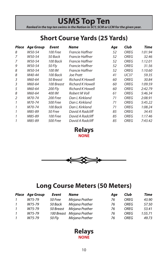# **USMS Top Ten** *Ranked in the top ten swims in the Nation in SCY, SCM or LCM for the given year.*

### **Short Course Yards (25 Yards)**

| Place | <b>Age Group</b> | Event           | Name             | Age | Club        | Time    |
|-------|------------------|-----------------|------------------|-----|-------------|---------|
| 8     | W50-54           | 100 Free        | Francie Haffner  | 52  | <b>OREG</b> | 1:01.94 |
| 7     | W50-54           | 50 Back         | Francie Haffner  | 52  | OREG        | 32.46   |
| 7     | W50-54           | 100 Back        | Francie Haffner  | 52  | <b>OREG</b> | 1:12.01 |
| 9     | W50-54           | 50 Fly          | Francie Haffner  | 52  | OREG        | 31.56   |
| 8     | W50-54           | 100 IM          | Francie Haffner  | 52  | <b>OREG</b> | 1:10.60 |
| 8     | M40-44           | 100 Back        | Joe Pratt        | 41  | <b>UC37</b> | 59.35   |
| 3     | M60-64           | 50 Breast       | Richard K Howell | 60  | <b>OREG</b> | 30.84   |
| 3     | M60-64           | 100 Breast      | Richard K Howell | 60  | <b>OREG</b> | 1:09.59 |
| 5     | M60-64           | 200 Fly         | Richard K Howell | 60  | OREG        | 2:42.79 |
| 8     | M60-64           | 400 IM          | Robert M Voll    | 61  | OREG        | 5:46.34 |
| 2     | M70-74           | 200 Free        | Dan L Kirkland   | 71  | OREG        | 2:08.91 |
| 1     | M70-74           | <b>500 Free</b> | Dan L Kirkland   | 71  | OREG        | 5:45.22 |
| 1     | M70-74           | 100 Back        | Dan L Kirkland   | 71  | OREG        | 1:08.24 |
| 1     | M85-89           | 50 Free         | David A Radcliff | 85  | OREG        | 34.45   |
| 1     | M85-89           | 100 Free        | David A Radcliff | 85  | OREG        | 1:17.46 |
|       | M85-89           | <b>500 Free</b> | David A Radcliff | 85  | <b>OREG</b> | 7:43.42 |

**NONE Relays**



#### **Long Course Meters (50 Meters)**

|               | <b>Place</b> Age Group | Event     | Name                       | Aae | Club | Time    |
|---------------|------------------------|-----------|----------------------------|-----|------|---------|
| $\mathcal{I}$ | W75-79                 | 50 Free   | Mirjana Prather            | 76  | OREG | 43.90   |
| $\mathbf{1}$  | W75-79                 | 50 Back   | Mirjana Prather            | 76  | ORFG | 57.50   |
| $\mathbf{1}$  | W75-79                 | 50 Breast | Mirjana Prather            | 76  | OREG | 53.41   |
| $\mathbf{1}$  | W75-79                 |           | 100 Breast Mirjana Prather | 76  | ORFG | 1:55.71 |
| $\mathbf{1}$  | W75-79                 | 50 Fly    | Mirjana Prather            | 76  | ORFG | 49.73   |

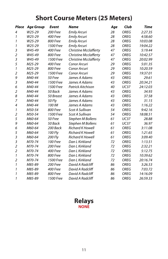### **Short Course Meters (25 Meters)**

| Place                   | <b>Age Group</b> | <b>Event</b>     | <b>Name</b>                  | Age | Club        | Time     |
|-------------------------|------------------|------------------|------------------------------|-----|-------------|----------|
| 4                       | W25-29           | 200 Free         | <b>Emily Arcuri</b>          | 28  | <b>OREG</b> | 2:27.35  |
| 1                       | W25-29           | 400 Free         | <b>Emily Arcuri</b>          | 28  | <b>OREG</b> | 4:58.60  |
| 1                       | W25-29           | <b>800 Free</b>  | <b>Emily Arcuri</b>          | 28  | <b>OREG</b> | 10:03.08 |
| 1                       | W25-29           | 1500 Free        | <b>Emily Arcuri</b>          | 28  | <b>OREG</b> | 19:04.22 |
| 3                       | W45-49           | 400 Free         | <b>Christine Mcclafferty</b> | 47  | <b>OREG</b> | 5:19.44  |
| 2                       | W45-49           | <b>800 Free</b>  | <b>Christine Mcclafferty</b> | 47  | <b>OREG</b> | 10:42.57 |
| 3                       | W45-49           | 1500 Free        | <b>Christine Mcclafferty</b> | 47  | <b>OREG</b> | 20:02.99 |
| 5                       | M25-29           | 400 Free         | Conor Arcuri                 | 29  | <b>OREG</b> | 5:01.35  |
| 1                       | M25-29           | 800 Free         | Conor Arcuri                 | 29  | <b>OREG</b> | 10:20.59 |
| 2                       | M25-29           | <b>1500 Free</b> | Conor Arcuri                 | 29  | <b>OREG</b> | 19:37.01 |
| 9                       | M40-44           | 50 Free          | James A Adams                | 43  | <b>OREG</b> | 29.61    |
| 3                       | M40-44           | 1500 Free        | James A Adams                | 43  | <b>OREG</b> | 20:34.21 |
| 6                       | M40-44           | <b>1500 Free</b> | Patrick Aitchison            | 40  | <b>UC37</b> | 24:12.03 |
| $\overline{2}$          | M40-44           | 50 Back          | James A Adams                | 43  | <b>OREG</b> | 34.93    |
| 8                       | M40-44           | 50 Breast        | James A Adams                | 43  | <b>OREG</b> | 37.58    |
| 7                       | M40-44           | 50 Fly           | James A Adams                | 43  | <b>OREG</b> | 31.15    |
| 4                       | M40-44           | 100 IM           | James A Adams                | 43  | <b>OREG</b> | 1:16.22  |
| 1                       | M50-54           | 800 Free         | Scot A Sullivan              | 54  | <b>OREG</b> | 9:42.16  |
| $\overline{2}$          | M50-54           | 1500 Free        | Scot A Sullivan              | 54  | <b>OREG</b> | 18:08.51 |
| 5                       | M60-64           | 50 Free          | Stephen M Bollens            | 61  | <b>UC37</b> | 28.88    |
| 9                       | M60-64           | 50 Back          | Stephen M Bollens            | 61  | <b>UC37</b> | 36.97    |
| 6                       | M60-64           | 200 Back         | <b>Richard K Howell</b>      | 61  | <b>OREG</b> | 3:11.08  |
| 5                       | M60-64           | 100 Fly          | <b>Richard K Howell</b>      | 61  | <b>OREG</b> | 1:21.65  |
| 3                       | M60-64           | 200 Fly          | <b>Richard K Howell</b>      | 61  | <b>OREG</b> | 3:09.40  |
| 3                       | M70-74           | <b>100 Free</b>  | Dan L Kirkland               | 72  | <b>OREG</b> | 1:13.51  |
| $\overline{\mathbf{c}}$ | M70-74           | 200 Free         | Dan L Kirkland               | 72  | <b>OREG</b> | 2:32.21  |
| $\overline{2}$          | M70-74           | 400 Free         | Dan L Kirkland               | 72  | <b>OREG</b> | 5:12.75  |
| 1                       | M70-74           | <b>800 Free</b>  | Dan L Kirkland               | 72  | <b>OREG</b> | 10:39.62 |
| 2                       | M70-74           | <b>1500 Free</b> | Dan L Kirkland               | 72  | OREG        | 20:16.74 |
| 1                       | M85-89           | 200 Free         | David A Radcliff             | 86  | <b>OREG</b> | 3:26.53  |
| 1                       | M85-89           | 400 Free         | David A Radcliff             | 86  | <b>OREG</b> | 7:03.72  |
| 1                       | M85-89           | <b>800 Free</b>  | David A Radcliff             | 86  | <b>OREG</b> | 14:16.09 |
| 1                       | M85-89           | 1500 Free        | David A Radcliff             | 86  | <b>OREG</b> | 26:59.33 |

#### **NONE Relays**